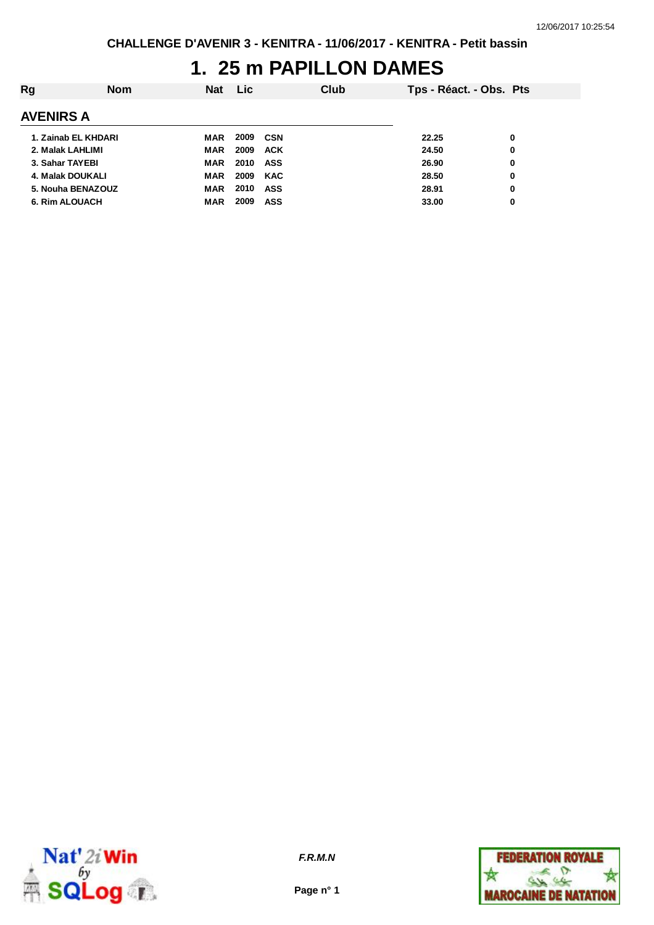## **1. 25 m PAPILLON DAMES**

| Rg                    | <b>Nom</b> | <b>Nat</b> | <b>Lic</b> |            | Club | Tps - Réact. - Obs. Pts |   |
|-----------------------|------------|------------|------------|------------|------|-------------------------|---|
| <b>AVENIRS A</b>      |            |            |            |            |      |                         |   |
| 1. Zainab EL KHDARI   |            | <b>MAR</b> | 2009       | CSN        |      | 22.25                   | 0 |
| 2. Malak LAHLIMI      |            | MAR        | 2009       | <b>ACK</b> |      | 24.50                   | 0 |
| 3. Sahar TAYEBI       |            | MAR        | 2010       | ASS        |      | 26.90                   | 0 |
| 4. Malak DOUKALI      |            | MAR        | 2009       | <b>KAC</b> |      | 28.50                   | 0 |
| 5. Nouha BENAZOUZ     |            | <b>MAR</b> | 2010       | <b>ASS</b> |      | 28.91                   | 0 |
| <b>6. Rim ALOUACH</b> |            | <b>MAR</b> | 2009       | <b>ASS</b> |      | 33.00                   | 0 |



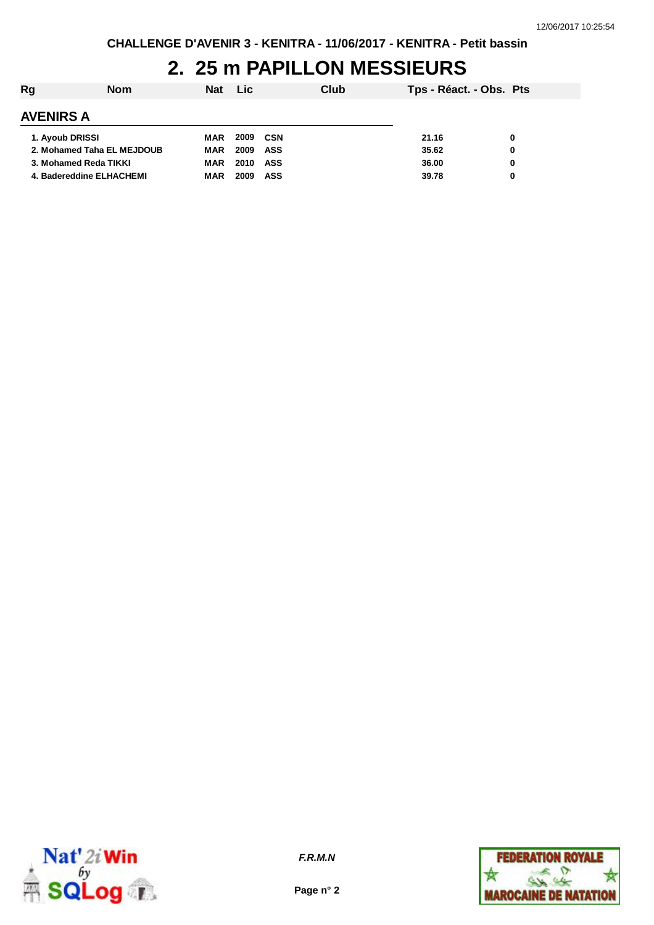# **2. 25 m PAPILLON MESSIEURS**

| Rg                         | <b>Nom</b> | <b>Nat</b> | <b>Lic</b> |            | Club | Tps - Réact. - Obs. Pts |   |
|----------------------------|------------|------------|------------|------------|------|-------------------------|---|
| <b>AVENIRS A</b>           |            |            |            |            |      |                         |   |
| 1. Ayoub DRISSI            |            | MAR        | 2009       | CSN        |      | 21.16                   | 0 |
| 2. Mohamed Taha EL MEJDOUB |            | MAR        | 2009       | ASS        |      | 35.62                   | 0 |
| 3. Mohamed Reda TIKKI      |            | MAR        | 2010       | ASS        |      | 36.00                   | 0 |
| 4. Badereddine ELHACHEMI   |            | <b>MAR</b> | 2009       | <b>ASS</b> |      | 39.78                   | 0 |



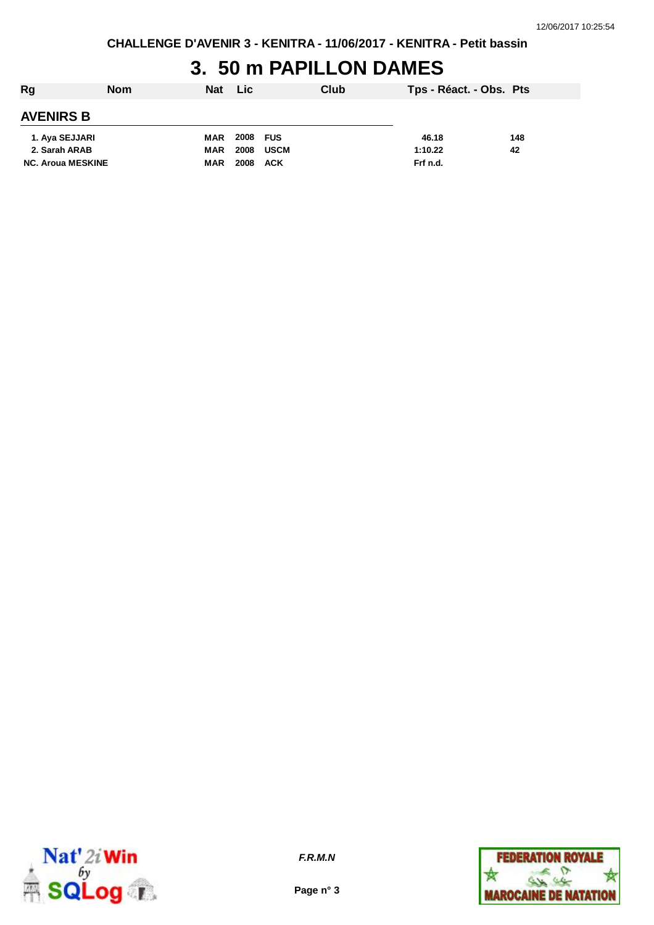# **3. 50 m PAPILLON DAMES**

| Rg                       | <b>Nom</b> | Nat Lic    |          |            | Club | Tps - Réact. - Obs. Pts |     |
|--------------------------|------------|------------|----------|------------|------|-------------------------|-----|
| <b>AVENIRS B</b>         |            |            |          |            |      |                         |     |
| 1. Aya SEJJARI           |            | <b>MAR</b> | 2008 FUS |            |      | 46.18                   | 148 |
| 2. Sarah ARAB            |            | MAR        | 2008     | USCM       |      | 1:10.22                 | 42  |
| <b>NC. Aroua MESKINE</b> |            | <b>MAR</b> | 2008     | <b>ACK</b> |      | Frf n.d.                |     |



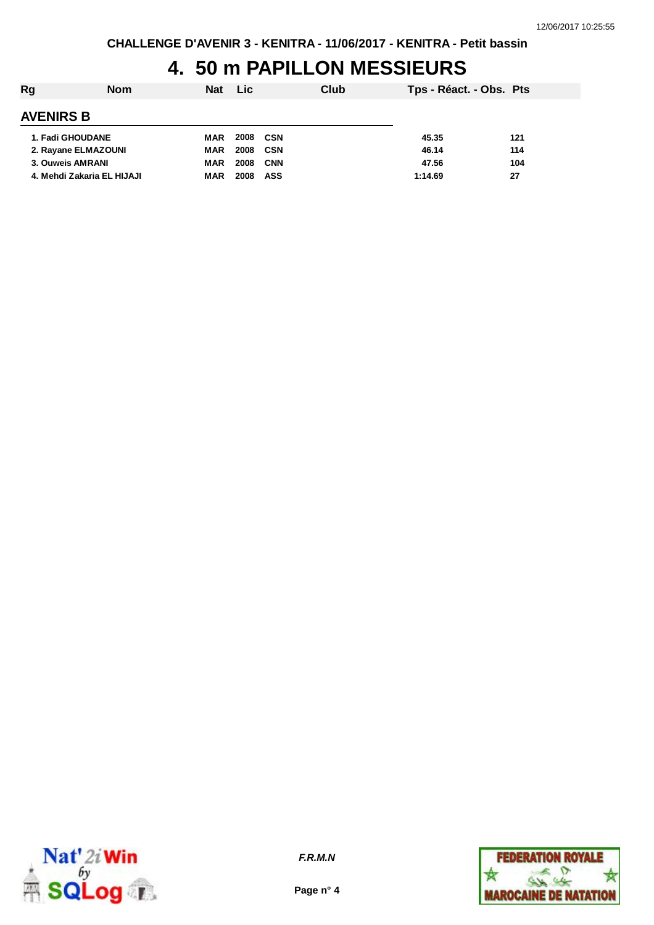# **4. 50 m PAPILLON MESSIEURS**

| Rg                         | <b>Nom</b> | <b>Nat</b> | <b>Lic</b> |            | Club | Tps - Réact. - Obs. Pts |     |
|----------------------------|------------|------------|------------|------------|------|-------------------------|-----|
| <b>AVENIRS B</b>           |            |            |            |            |      |                         |     |
| 1. Fadi GHOUDANE           |            | MAR        | 2008       | CSN        |      | 45.35                   | 121 |
| 2. Rayane ELMAZOUNI        |            | MAR        | 2008       | CSN        |      | 46.14                   | 114 |
| 3. Ouweis AMRANI           |            | <b>MAR</b> | 2008       | <b>CNN</b> |      | 47.56                   | 104 |
| 4. Mehdi Zakaria EL HIJAJI |            | <b>MAR</b> | 2008       | <b>ASS</b> |      | 1:14.69                 | 27  |



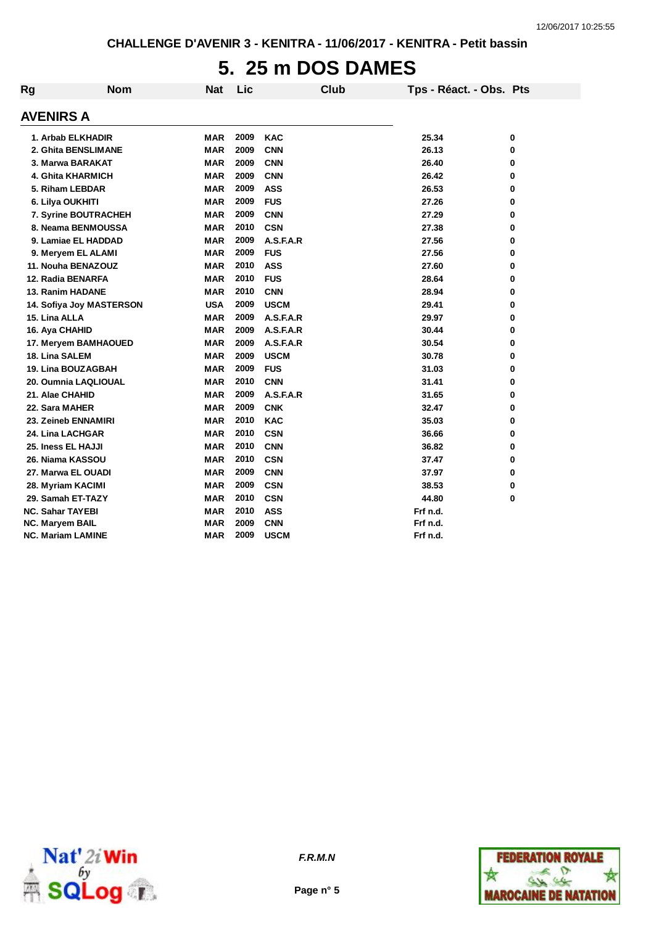# **5. 25 m DOS DAMES**

| <b>Rg</b>        | <b>Nom</b>                | <b>Nat</b> | Lic  | Club        | Tps - Réact. - Obs. Pts |   |
|------------------|---------------------------|------------|------|-------------|-------------------------|---|
| <b>AVENIRS A</b> |                           |            |      |             |                         |   |
|                  | 1. Arbab ELKHADIR         | <b>MAR</b> | 2009 | <b>KAC</b>  | 25.34                   | 0 |
|                  | 2. Ghita BENSLIMANE       | <b>MAR</b> | 2009 | <b>CNN</b>  | 26.13                   | 0 |
|                  | 3. Marwa BARAKAT          | <b>MAR</b> | 2009 | <b>CNN</b>  | 26.40                   | 0 |
|                  | 4. Ghita KHARMICH         | <b>MAR</b> | 2009 | <b>CNN</b>  | 26.42                   | 0 |
|                  | 5. Riham LEBDAR           | <b>MAR</b> | 2009 | <b>ASS</b>  | 26.53                   | 0 |
|                  | 6. Lilya OUKHITI          | <b>MAR</b> | 2009 | <b>FUS</b>  | 27.26                   | 0 |
|                  | 7. Syrine BOUTRACHEH      | <b>MAR</b> | 2009 | <b>CNN</b>  | 27.29                   | 0 |
|                  | 8. Neama BENMOUSSA        | <b>MAR</b> | 2010 | <b>CSN</b>  | 27.38                   | 0 |
|                  | 9. Lamiae EL HADDAD       | MAR        | 2009 | A.S.F.A.R   | 27.56                   | 0 |
|                  | 9. Meryem EL ALAMI        | MAR        | 2009 | <b>FUS</b>  | 27.56                   | 0 |
|                  | 11. Nouha BENAZOUZ        | MAR        | 2010 | <b>ASS</b>  | 27.60                   | 0 |
|                  | 12. Radia BENARFA         | <b>MAR</b> | 2010 | <b>FUS</b>  | 28.64                   | 0 |
|                  | 13. Ranim HADANE          | <b>MAR</b> | 2010 | <b>CNN</b>  | 28.94                   | 0 |
|                  | 14. Sofiya Joy MASTERSON  | <b>USA</b> | 2009 | <b>USCM</b> | 29.41                   | 0 |
| 15. Lina ALLA    |                           | <b>MAR</b> | 2009 | A.S.F.A.R   | 29.97                   | 0 |
|                  | 16. Aya CHAHID            | <b>MAR</b> | 2009 | A.S.F.A.R   | 30.44                   | 0 |
|                  | 17. Meryem BAMHAOUED      | <b>MAR</b> | 2009 | A.S.F.A.R   | 30.54                   | 0 |
|                  | 18. Lina SALEM            | <b>MAR</b> | 2009 | <b>USCM</b> | 30.78                   | 0 |
|                  | <b>19. Lina BOUZAGBAH</b> | <b>MAR</b> | 2009 | <b>FUS</b>  | 31.03                   | 0 |
|                  | 20. Oumnia LAQLIOUAL      | <b>MAR</b> | 2010 | <b>CNN</b>  | 31.41                   | 0 |
|                  | 21. Alae CHAHID           | <b>MAR</b> | 2009 | A.S.F.A.R   | 31.65                   | 0 |
|                  | 22. Sara MAHER            | <b>MAR</b> | 2009 | <b>CNK</b>  | 32.47                   | 0 |
|                  | 23. Zeineb ENNAMIRI       | <b>MAR</b> | 2010 | <b>KAC</b>  | 35.03                   | 0 |
|                  | 24. Lina LACHGAR          | <b>MAR</b> | 2010 | <b>CSN</b>  | 36.66                   | 0 |
|                  | 25. Iness EL HAJJI        | <b>MAR</b> | 2010 | <b>CNN</b>  | 36.82                   | 0 |
|                  | 26. Niama KASSOU          | <b>MAR</b> | 2010 | <b>CSN</b>  | 37.47                   | 0 |
|                  | 27. Marwa EL OUADI        | <b>MAR</b> | 2009 | <b>CNN</b>  | 37.97                   | 0 |
|                  | 28. Myriam KACIMI         | <b>MAR</b> | 2009 | <b>CSN</b>  | 38.53                   | 0 |
|                  | 29. Samah ET-TAZY         | MAR        | 2010 | <b>CSN</b>  | 44.80                   | 0 |
|                  | <b>NC. Sahar TAYEBI</b>   | <b>MAR</b> | 2010 | <b>ASS</b>  | Frf n.d.                |   |
|                  | NC. Maryem BAIL           | MAR        | 2009 | <b>CNN</b>  | Frf n.d.                |   |
|                  | <b>NC. Mariam LAMINE</b>  | MAR        | 2009 | <b>USCM</b> | Frf n.d.                |   |



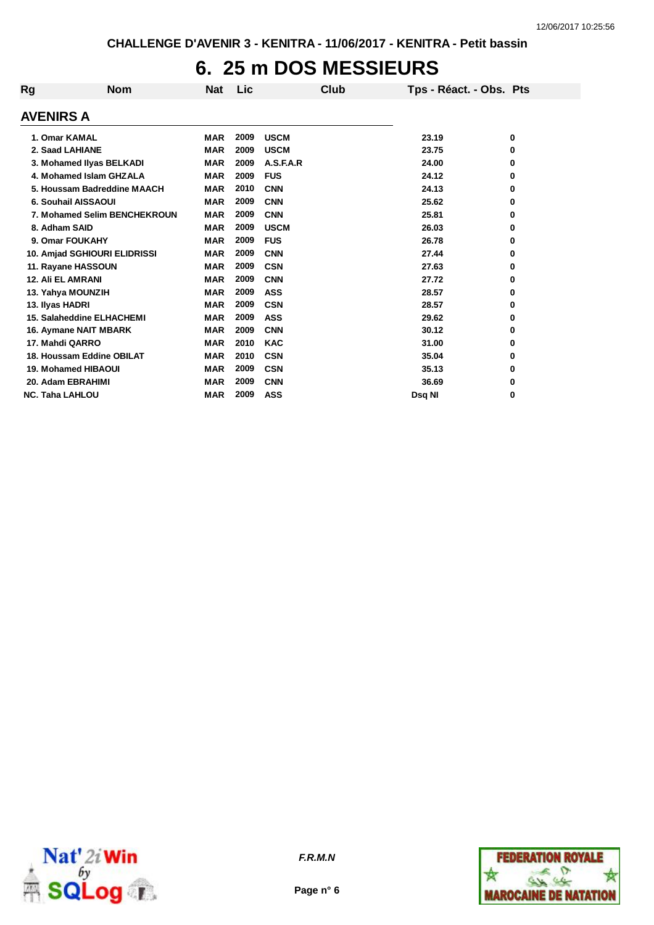## **6. 25 m DOS MESSIEURS**

| Rg | <b>Nom</b>                   | Nat        | Lic  | Club        | Tps - Réact. - Obs. Pts |   |
|----|------------------------------|------------|------|-------------|-------------------------|---|
|    | <b>AVENIRS A</b>             |            |      |             |                         |   |
|    | 1. Omar KAMAL                | <b>MAR</b> | 2009 | <b>USCM</b> | 23.19                   | 0 |
|    | 2. Saad LAHIANE              | <b>MAR</b> | 2009 | <b>USCM</b> | 23.75                   | 0 |
|    | 3. Mohamed Ilyas BELKADI     | <b>MAR</b> | 2009 | A.S.F.A.R   | 24.00                   | 0 |
|    | 4. Mohamed Islam GHZALA      | <b>MAR</b> | 2009 | <b>FUS</b>  | 24.12                   | 0 |
|    | 5. Houssam Badreddine MAACH  | <b>MAR</b> | 2010 | <b>CNN</b>  | 24.13                   | 0 |
|    | 6. Souhail AISSAOUI          | <b>MAR</b> | 2009 | <b>CNN</b>  | 25.62                   | 0 |
|    | 7. Mohamed Selim BENCHEKROUN | <b>MAR</b> | 2009 | <b>CNN</b>  | 25.81                   | 0 |
|    | 8. Adham SAID                | <b>MAR</b> | 2009 | <b>USCM</b> | 26.03                   | 0 |
|    | 9. Omar FOUKAHY              | <b>MAR</b> | 2009 | <b>FUS</b>  | 26.78                   | 0 |
|    | 10. Amjad SGHIOURI ELIDRISSI | <b>MAR</b> | 2009 | <b>CNN</b>  | 27.44                   | 0 |
|    | 11. Rayane HASSOUN           | <b>MAR</b> | 2009 | <b>CSN</b>  | 27.63                   | 0 |
|    | <b>12. Ali EL AMRANI</b>     | <b>MAR</b> | 2009 | <b>CNN</b>  | 27.72                   | 0 |
|    | 13. Yahya MOUNZIH            | <b>MAR</b> | 2009 | <b>ASS</b>  | 28.57                   | 0 |
|    | 13. Ilyas HADRI              | <b>MAR</b> | 2009 | <b>CSN</b>  | 28.57                   | 0 |
|    | 15. Salaheddine ELHACHEMI    | <b>MAR</b> | 2009 | <b>ASS</b>  | 29.62                   | 0 |
|    | <b>16. Aymane NAIT MBARK</b> | <b>MAR</b> | 2009 | <b>CNN</b>  | 30.12                   | 0 |
|    | 17. Mahdi QARRO              | <b>MAR</b> | 2010 | <b>KAC</b>  | 31.00                   | 0 |
|    | 18. Houssam Eddine OBILAT    | <b>MAR</b> | 2010 | <b>CSN</b>  | 35.04                   | 0 |
|    | <b>19. Mohamed HIBAOUI</b>   | <b>MAR</b> | 2009 | <b>CSN</b>  | 35.13                   | 0 |
|    | 20. Adam EBRAHIMI            | <b>MAR</b> | 2009 | <b>CNN</b>  | 36.69                   | 0 |
|    | <b>NC. Taha LAHLOU</b>       | <b>MAR</b> | 2009 | <b>ASS</b>  | Dsq NI                  | 0 |



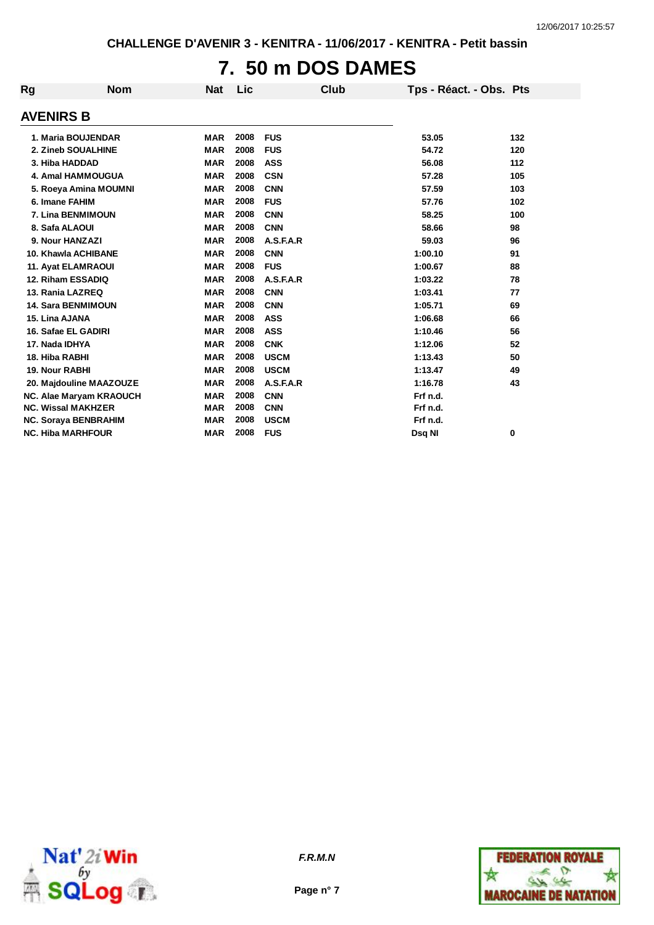# **7. 50 m DOS DAMES**

| <b>Rg</b>        | <b>Nom</b>                | <b>Nat</b> | Lic  | Club        | Tps - Réact. - Obs. Pts |       |
|------------------|---------------------------|------------|------|-------------|-------------------------|-------|
| <b>AVENIRS B</b> |                           |            |      |             |                         |       |
|                  | 1. Maria BOUJENDAR        | <b>MAR</b> | 2008 | <b>FUS</b>  | 53.05                   | 132   |
|                  | 2. Zineb SOUALHINE        | <b>MAR</b> | 2008 | <b>FUS</b>  | 54.72                   | 120   |
|                  | 3. Hiba HADDAD            | <b>MAR</b> | 2008 | <b>ASS</b>  | 56.08                   | $112$ |
|                  | 4. Amal HAMMOUGUA         | <b>MAR</b> | 2008 | <b>CSN</b>  | 57.28                   | 105   |
|                  | 5. Roeya Amina MOUMNI     | <b>MAR</b> | 2008 | <b>CNN</b>  | 57.59                   | 103   |
|                  | 6. Imane FAHIM            | <b>MAR</b> | 2008 | <b>FUS</b>  | 57.76                   | 102   |
|                  | 7. Lina BENMIMOUN         | <b>MAR</b> | 2008 | <b>CNN</b>  | 58.25                   | 100   |
|                  | 8. Safa ALAOUI            | <b>MAR</b> | 2008 | <b>CNN</b>  | 58.66                   | 98    |
|                  | 9. Nour HANZAZI           | <b>MAR</b> | 2008 | A.S.F.A.R   | 59.03                   | 96    |
|                  | 10. Khawla ACHIBANE       | <b>MAR</b> | 2008 | <b>CNN</b>  | 1:00.10                 | 91    |
|                  | 11. Ayat ELAMRAOUI        | <b>MAR</b> | 2008 | <b>FUS</b>  | 1:00.67                 | 88    |
|                  | 12. Riham ESSADIQ         | <b>MAR</b> | 2008 | A.S.F.A.R   | 1:03.22                 | 78    |
|                  | 13. Rania LAZREQ          | <b>MAR</b> | 2008 | <b>CNN</b>  | 1:03.41                 | 77    |
|                  | <b>14. Sara BENMIMOUN</b> | <b>MAR</b> | 2008 | <b>CNN</b>  | 1:05.71                 | 69    |
| 15. Lina AJANA   |                           | <b>MAR</b> | 2008 | <b>ASS</b>  | 1:06.68                 | 66    |
|                  | 16. Safae EL GADIRI       | <b>MAR</b> | 2008 | <b>ASS</b>  | 1:10.46                 | 56    |
| 17. Nada IDHYA   |                           | <b>MAR</b> | 2008 | <b>CNK</b>  | 1:12.06                 | 52    |
| 18. Hiba RABHI   |                           | <b>MAR</b> | 2008 | <b>USCM</b> | 1:13.43                 | 50    |
| 19. Nour RABHI   |                           | <b>MAR</b> | 2008 | <b>USCM</b> | 1:13.47                 | 49    |
|                  | 20. Majdouline MAAZOUZE   | <b>MAR</b> | 2008 | A.S.F.A.R   | 1:16.78                 | 43    |
|                  | NC. Alae Maryam KRAOUCH   | <b>MAR</b> | 2008 | <b>CNN</b>  | Frf n.d.                |       |
|                  | <b>NC. Wissal MAKHZER</b> | <b>MAR</b> | 2008 | <b>CNN</b>  | Frf n.d.                |       |
|                  | NC. Soraya BENBRAHIM      | <b>MAR</b> | 2008 | <b>USCM</b> | Frf n.d.                |       |
|                  | <b>NC. Hiba MARHFOUR</b>  | <b>MAR</b> | 2008 | <b>FUS</b>  | Dsg NI                  | 0     |



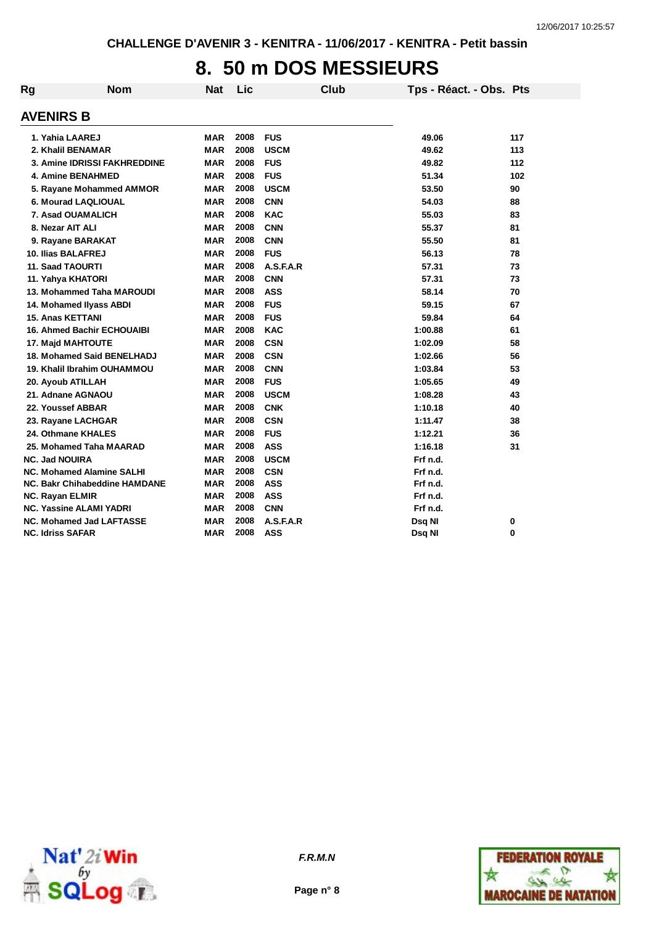## **8. 50 m DOS MESSIEURS**

| <b>Rg</b> | <b>Nom</b>                        | <b>Nat</b> | Lic  | <b>Club</b> | Tps - Réact. - Obs. Pts |     |
|-----------|-----------------------------------|------------|------|-------------|-------------------------|-----|
|           | <b>AVENIRS B</b>                  |            |      |             |                         |     |
|           | 1. Yahia LAAREJ                   | MAR        | 2008 | <b>FUS</b>  | 49.06                   | 117 |
|           | 2. Khalil BENAMAR                 | <b>MAR</b> | 2008 | <b>USCM</b> | 49.62                   | 113 |
|           | 3. Amine IDRISSI FAKHREDDINE      | <b>MAR</b> | 2008 | <b>FUS</b>  | 49.82                   | 112 |
|           | <b>4. Amine BENAHMED</b>          | <b>MAR</b> | 2008 | <b>FUS</b>  | 51.34                   | 102 |
|           | 5. Rayane Mohammed AMMOR          | <b>MAR</b> | 2008 | <b>USCM</b> | 53.50                   | 90  |
|           | 6. Mourad LAQLIOUAL               | <b>MAR</b> | 2008 | <b>CNN</b>  | 54.03                   | 88  |
|           | <b>7. Asad OUAMALICH</b>          | <b>MAR</b> | 2008 | <b>KAC</b>  | 55.03                   | 83  |
|           | 8. Nezar AIT ALI                  | <b>MAR</b> | 2008 | <b>CNN</b>  | 55.37                   | 81  |
|           | 9. Rayane BARAKAT                 | <b>MAR</b> | 2008 | <b>CNN</b>  | 55.50                   | 81  |
|           | 10. Ilias BALAFREJ                | <b>MAR</b> | 2008 | <b>FUS</b>  | 56.13                   | 78  |
|           | 11. Saad TAOURTI                  | <b>MAR</b> | 2008 | A.S.F.A.R   | 57.31                   | 73  |
|           | 11. Yahya KHATORI                 | <b>MAR</b> | 2008 | <b>CNN</b>  | 57.31                   | 73  |
|           | 13. Mohammed Taha MAROUDI         | <b>MAR</b> | 2008 | <b>ASS</b>  | 58.14                   | 70  |
|           | 14. Mohamed Ilyass ABDI           | <b>MAR</b> | 2008 | <b>FUS</b>  | 59.15                   | 67  |
|           | 15. Anas KETTANI                  | <b>MAR</b> | 2008 | <b>FUS</b>  | 59.84                   | 64  |
|           | <b>16. Ahmed Bachir ECHOUAIBI</b> | <b>MAR</b> | 2008 | <b>KAC</b>  | 1:00.88                 | 61  |
|           | <b>17. Majd MAHTOUTE</b>          | <b>MAR</b> | 2008 | <b>CSN</b>  | 1:02.09                 | 58  |
|           | 18. Mohamed Said BENELHADJ        | <b>MAR</b> | 2008 | <b>CSN</b>  | 1:02.66                 | 56  |
|           | 19. Khalil Ibrahim OUHAMMOU       | <b>MAR</b> | 2008 | <b>CNN</b>  | 1:03.84                 | 53  |
|           | 20. Ayoub ATILLAH                 | <b>MAR</b> | 2008 | <b>FUS</b>  | 1:05.65                 | 49  |
|           | 21. Adnane AGNAOU                 | <b>MAR</b> | 2008 | <b>USCM</b> | 1:08.28                 | 43  |
|           | 22. Youssef ABBAR                 | <b>MAR</b> | 2008 | <b>CNK</b>  | 1:10.18                 | 40  |
|           | 23. Rayane LACHGAR                | <b>MAR</b> | 2008 | <b>CSN</b>  | 1:11.47                 | 38  |
|           | 24. Othmane KHALES                | <b>MAR</b> | 2008 | <b>FUS</b>  | 1:12.21                 | 36  |
|           | 25. Mohamed Taha MAARAD           | <b>MAR</b> | 2008 | <b>ASS</b>  | 1:16.18                 | 31  |
|           | <b>NC. Jad NOUIRA</b>             | <b>MAR</b> | 2008 | <b>USCM</b> | Frf n.d.                |     |
|           | <b>NC. Mohamed Alamine SALHI</b>  | <b>MAR</b> | 2008 | <b>CSN</b>  | Frf n.d.                |     |
|           | NC. Bakr Chihabeddine HAMDANE     | MAR        | 2008 | <b>ASS</b>  | Frf n.d.                |     |
|           | <b>NC. Rayan ELMIR</b>            | MAR        | 2008 | <b>ASS</b>  | Frf n.d.                |     |
|           | <b>NC. Yassine ALAMI YADRI</b>    | <b>MAR</b> | 2008 | <b>CNN</b>  | Frf n.d.                |     |
|           | <b>NC. Mohamed Jad LAFTASSE</b>   | <b>MAR</b> | 2008 | A.S.F.A.R   | Dsq NI                  | 0   |
|           | <b>NC. Idriss SAFAR</b>           | <b>MAR</b> | 2008 | ASS         | Dsq NI                  | 0   |



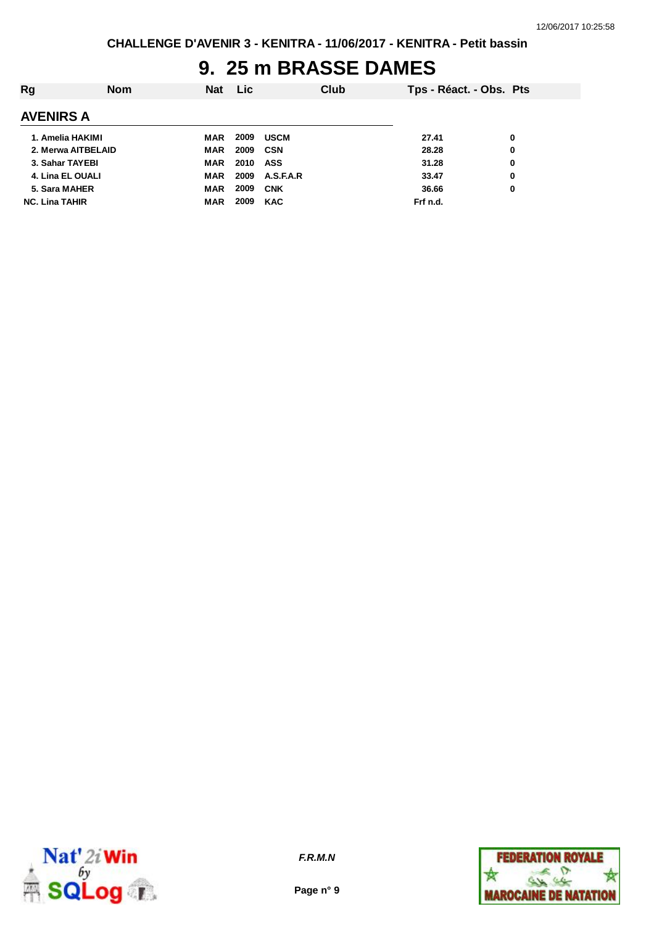#### **9. 25 m BRASSE DAMES**

| Rg                    | <b>Nom</b> | <b>Nat</b> | <b>Lic</b> |             | Club | Tps - Réact. - Obs. Pts |   |
|-----------------------|------------|------------|------------|-------------|------|-------------------------|---|
| <b>AVENIRS A</b>      |            |            |            |             |      |                         |   |
| 1. Amelia HAKIMI      |            | MAR        | 2009       | <b>USCM</b> |      | 27.41                   | 0 |
| 2. Merwa AITBELAID    |            | <b>MAR</b> | 2009       | CSN         |      | 28.28                   | 0 |
| 3. Sahar TAYEBI       |            | MAR        | 2010       | ASS         |      | 31.28                   | 0 |
| 4. Lina EL OUALI      |            | MAR        | 2009       | A.S.F.A.R   |      | 33.47                   | 0 |
| 5. Sara MAHER         |            | <b>MAR</b> | 2009       | <b>CNK</b>  |      | 36.66                   | 0 |
| <b>NC. Lina TAHIR</b> |            | MAR        | 2009       | <b>KAC</b>  |      | Frf n.d.                |   |



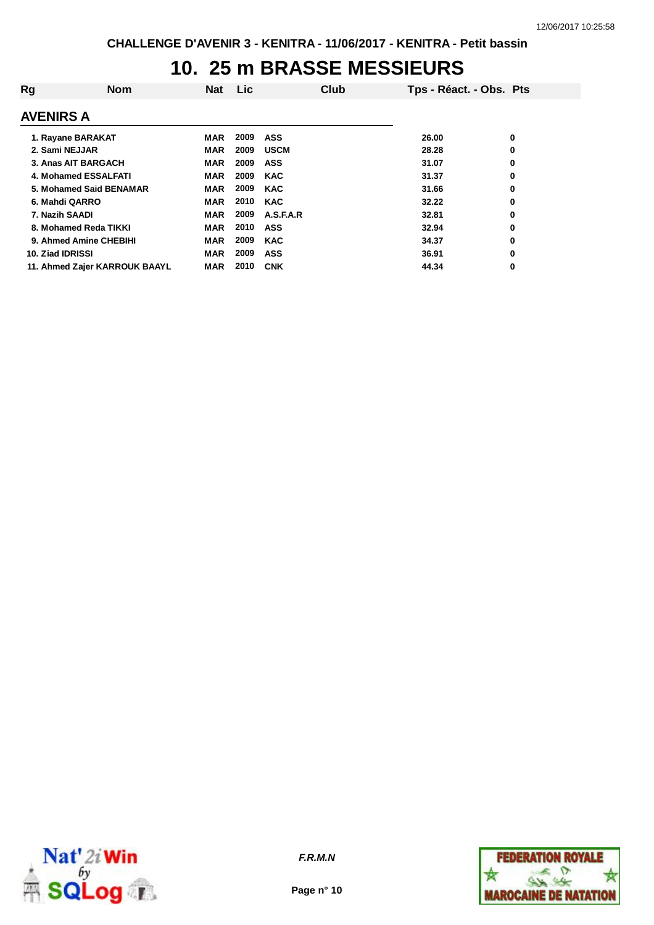#### **10. 25 m BRASSE MESSIEURS**

| Rg                            | <b>Nom</b> | <b>Nat</b> | Lic. |             | Club | Tps - Réact. - Obs. Pts |   |
|-------------------------------|------------|------------|------|-------------|------|-------------------------|---|
| <b>AVENIRS A</b>              |            |            |      |             |      |                         |   |
| 1. Rayane BARAKAT             |            | MAR        | 2009 | ASS         |      | 26.00                   | 0 |
| 2. Sami NEJJAR                |            | MAR        | 2009 | <b>USCM</b> |      | 28.28                   | 0 |
| 3. Anas AIT BARGACH           |            | <b>MAR</b> | 2009 | <b>ASS</b>  |      | 31.07                   | 0 |
| 4. Mohamed ESSALFATI          |            | MAR        | 2009 | <b>KAC</b>  |      | 31.37                   | 0 |
| 5. Mohamed Said BENAMAR       |            | <b>MAR</b> | 2009 | <b>KAC</b>  |      | 31.66                   | 0 |
| 6. Mahdi QARRO                |            | MAR        | 2010 | <b>KAC</b>  |      | 32.22                   | 0 |
| 7. Nazih SAADI                |            | MAR        | 2009 | A.S.F.A.R   |      | 32.81                   | 0 |
| 8. Mohamed Reda TIKKI         |            | MAR        | 2010 | <b>ASS</b>  |      | 32.94                   | 0 |
| 9. Ahmed Amine CHEBIHI        |            | <b>MAR</b> | 2009 | <b>KAC</b>  |      | 34.37                   | 0 |
| 10. Ziad IDRISSI              |            | MAR        | 2009 | <b>ASS</b>  |      | 36.91                   | 0 |
| 11. Ahmed Zajer KARROUK BAAYL |            | MAR        | 2010 | <b>CNK</b>  |      | 44.34                   | 0 |



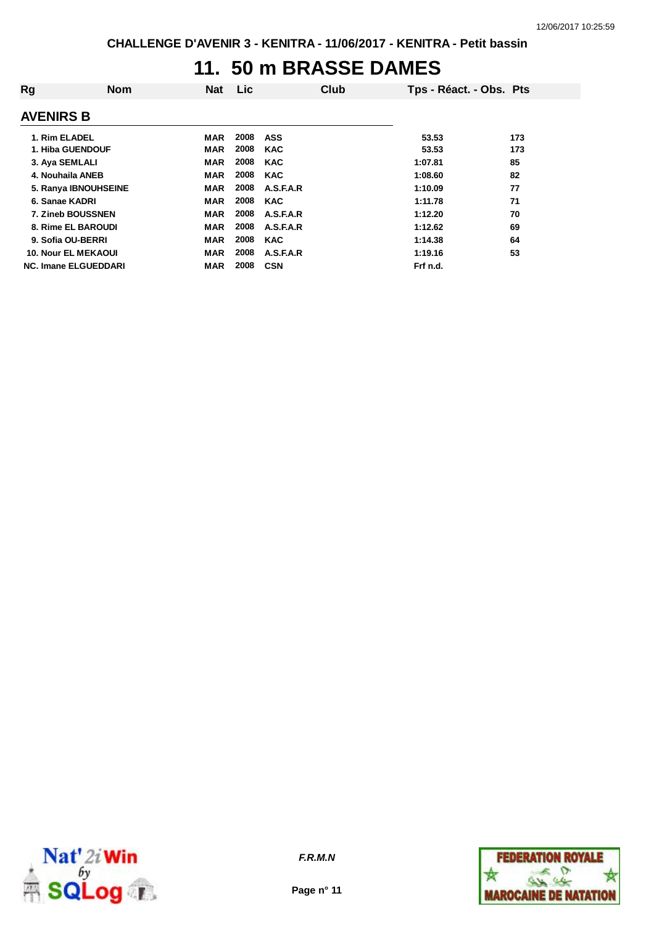### **11. 50 m BRASSE DAMES**

| Rg                          | <b>Nom</b> | Nat        | Lic  |            | Club | Tps - Réact. - Obs. Pts |     |
|-----------------------------|------------|------------|------|------------|------|-------------------------|-----|
| <b>AVENIRS B</b>            |            |            |      |            |      |                         |     |
| 1. Rim ELADEL               |            | MAR        | 2008 | ASS        |      | 53.53                   | 173 |
| 1. Hiba GUENDOUF            |            | <b>MAR</b> | 2008 | <b>KAC</b> |      | 53.53                   | 173 |
| 3. Aya SEMLALI              |            | MAR        | 2008 | <b>KAC</b> |      | 1:07.81                 | 85  |
| 4. Nouhaila ANEB            |            | <b>MAR</b> | 2008 | <b>KAC</b> |      | 1:08.60                 | 82  |
| 5. Ranya IBNOUHSEINE        |            | <b>MAR</b> | 2008 | A.S.F.A.R  |      | 1:10.09                 | 77  |
| 6. Sanae KADRI              |            | <b>MAR</b> | 2008 | <b>KAC</b> |      | 1:11.78                 | 71  |
| 7. Zineb BOUSSNEN           |            | <b>MAR</b> | 2008 | A.S.F.A.R  |      | 1:12.20                 | 70  |
| 8. Rime EL BAROUDI          |            | <b>MAR</b> | 2008 | A.S.F.A.R  |      | 1:12.62                 | 69  |
| 9. Sofia OU-BERRI           |            | <b>MAR</b> | 2008 | <b>KAC</b> |      | 1:14.38                 | 64  |
| <b>10. Nour EL MEKAOUI</b>  |            | <b>MAR</b> | 2008 | A.S.F.A.R  |      | 1:19.16                 | 53  |
| <b>NC. Imane ELGUEDDARI</b> |            | <b>MAR</b> | 2008 | <b>CSN</b> |      | Frf n.d.                |     |



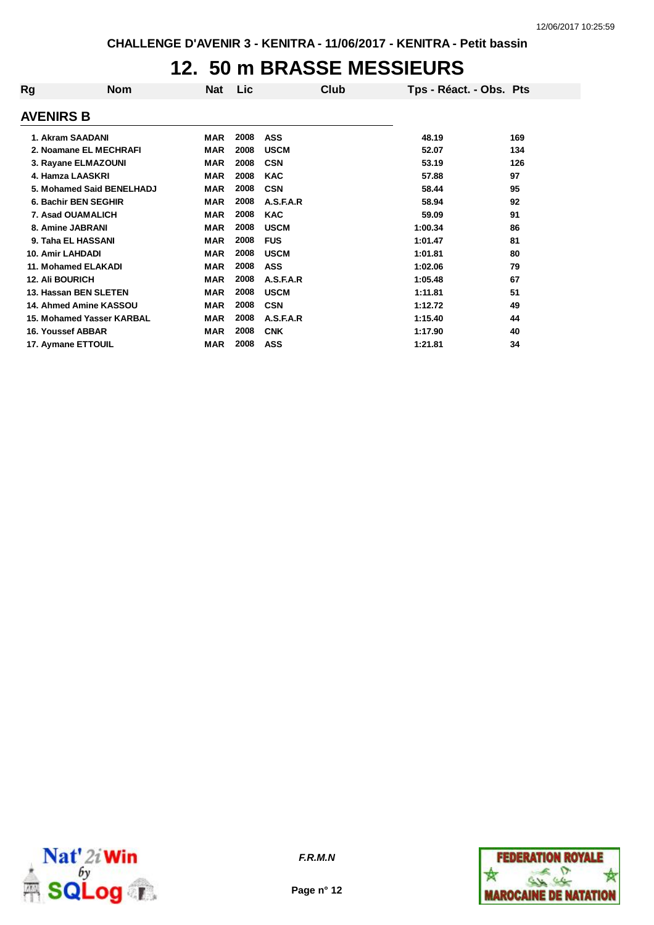### **12. 50 m BRASSE MESSIEURS**

| Rg                     | <b>Nom</b>                | Nat        | Lic  | Club        | Tps - Réact. - Obs. Pts |     |
|------------------------|---------------------------|------------|------|-------------|-------------------------|-----|
| <b>AVENIRS B</b>       |                           |            |      |             |                         |     |
|                        | 1. Akram SAADANI          | MAR        | 2008 | ASS         | 48.19                   | 169 |
|                        | 2. Noamane EL MECHRAFI    | <b>MAR</b> | 2008 | <b>USCM</b> | 52.07                   | 134 |
|                        | 3. Rayane ELMAZOUNI       | <b>MAR</b> | 2008 | <b>CSN</b>  | 53.19                   | 126 |
|                        | 4. Hamza LAASKRI          | <b>MAR</b> | 2008 | <b>KAC</b>  | 57.88                   | 97  |
|                        | 5. Mohamed Said BENELHADJ | <b>MAR</b> | 2008 | <b>CSN</b>  | 58.44                   | 95  |
|                        | 6. Bachir BEN SEGHIR      | <b>MAR</b> | 2008 | A.S.F.A.R   | 58.94                   | 92  |
|                        | 7. Asad OUAMALICH         | <b>MAR</b> | 2008 | <b>KAC</b>  | 59.09                   | 91  |
|                        | 8. Amine JABRANI          | <b>MAR</b> | 2008 | <b>USCM</b> | 1:00.34                 | 86  |
|                        | 9. Taha EL HASSANI        | MAR        | 2008 | <b>FUS</b>  | 1:01.47                 | 81  |
|                        | 10. Amir LAHDADI          | <b>MAR</b> | 2008 | <b>USCM</b> | 1:01.81                 | 80  |
|                        | 11. Mohamed ELAKADI       | <b>MAR</b> | 2008 | <b>ASS</b>  | 1:02.06                 | 79  |
| <b>12. Ali BOURICH</b> |                           | <b>MAR</b> | 2008 | A.S.F.A.R   | 1:05.48                 | 67  |
|                        | 13. Hassan BEN SLETEN     | <b>MAR</b> | 2008 | <b>USCM</b> | 1:11.81                 | 51  |
|                        | 14. Ahmed Amine KASSOU    | <b>MAR</b> | 2008 | <b>CSN</b>  | 1:12.72                 | 49  |
|                        | 15. Mohamed Yasser KARBAL | <b>MAR</b> | 2008 | A.S.F.A.R   | 1:15.40                 | 44  |
|                        | <b>16. Youssef ABBAR</b>  | <b>MAR</b> | 2008 | <b>CNK</b>  | 1:17.90                 | 40  |
|                        | 17. Aymane ETTOUIL        | <b>MAR</b> | 2008 | <b>ASS</b>  | 1:21.81                 | 34  |



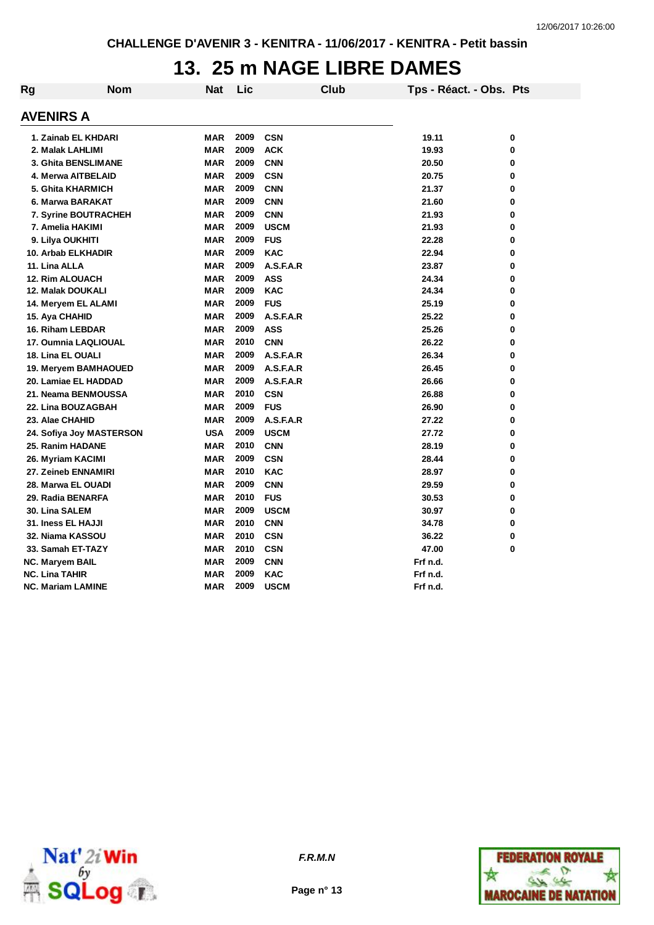### **13. 25 m NAGE LIBRE DAMES**

| Rg                          | <b>Nom</b> | <b>Nat</b> | Lic  |             | <b>Club</b> | Tps - Réact. - Obs. Pts |   |
|-----------------------------|------------|------------|------|-------------|-------------|-------------------------|---|
| <b>AVENIRS A</b>            |            |            |      |             |             |                         |   |
| 1. Zainab EL KHDARI         |            | MAR        | 2009 | <b>CSN</b>  |             | 19.11                   | 0 |
| 2. Malak LAHLIMI            |            | <b>MAR</b> | 2009 | <b>ACK</b>  |             | 19.93                   | 0 |
| 3. Ghita BENSLIMANE         |            | MAR        | 2009 | <b>CNN</b>  |             | 20.50                   | 0 |
| 4. Merwa AITBELAID          |            | <b>MAR</b> | 2009 | <b>CSN</b>  |             | 20.75                   | 0 |
| 5. Ghita KHARMICH           |            | MAR        | 2009 | <b>CNN</b>  |             | 21.37                   | 0 |
| 6. Marwa BARAKAT            |            | <b>MAR</b> | 2009 | <b>CNN</b>  |             | 21.60                   | 0 |
| <b>7. Syrine BOUTRACHEH</b> |            | MAR        | 2009 | <b>CNN</b>  |             | 21.93                   | 0 |
| 7. Amelia HAKIMI            |            | <b>MAR</b> | 2009 | <b>USCM</b> |             | 21.93                   | 0 |
| 9. Lilya OUKHITI            |            | MAR        | 2009 | <b>FUS</b>  |             | 22.28                   | 0 |
| 10. Arbab ELKHADIR          |            | <b>MAR</b> | 2009 | <b>KAC</b>  |             | 22.94                   | 0 |
| 11. Lina ALLA               |            | <b>MAR</b> | 2009 | A.S.F.A.R   |             | 23.87                   | 0 |
| <b>12. Rim ALOUACH</b>      |            | <b>MAR</b> | 2009 | <b>ASS</b>  |             | 24.34                   | 0 |
| 12. Malak DOUKALI           |            | <b>MAR</b> | 2009 | <b>KAC</b>  |             | 24.34                   | 0 |
| 14. Meryem EL ALAMI         |            | <b>MAR</b> | 2009 | <b>FUS</b>  |             | 25.19                   | 0 |
| 15. Aya CHAHID              |            | <b>MAR</b> | 2009 | A.S.F.A.R   |             | 25.22                   | 0 |
| 16. Riham LEBDAR            |            | MAR        | 2009 | <b>ASS</b>  |             | 25.26                   | 0 |
| 17. Oumnia LAQLIOUAL        |            | <b>MAR</b> | 2010 | <b>CNN</b>  |             | 26.22                   | 0 |
| 18. Lina EL OUALI           |            | MAR        | 2009 | A.S.F.A.R   |             | 26.34                   | 0 |
| 19. Meryem BAMHAOUED        |            | <b>MAR</b> | 2009 | A.S.F.A.R   |             | 26.45                   | 0 |
| 20. Lamiae EL HADDAD        |            | <b>MAR</b> | 2009 | A.S.F.A.R   |             | 26.66                   | 0 |
| 21. Neama BENMOUSSA         |            | <b>MAR</b> | 2010 | <b>CSN</b>  |             | 26.88                   | 0 |
| 22. Lina BOUZAGBAH          |            | <b>MAR</b> | 2009 | <b>FUS</b>  |             | 26.90                   | 0 |
| 23. Alae CHAHID             |            | <b>MAR</b> | 2009 | A.S.F.A.R   |             | 27.22                   | 0 |
| 24. Sofiya Joy MASTERSON    |            | <b>USA</b> | 2009 | <b>USCM</b> |             | 27.72                   | 0 |
| 25. Ranim HADANE            |            | MAR        | 2010 | <b>CNN</b>  |             | 28.19                   | 0 |
| 26. Myriam KACIMI           |            | MAR        | 2009 | <b>CSN</b>  |             | 28.44                   | 0 |
| 27. Zeineb ENNAMIRI         |            | MAR        | 2010 | <b>KAC</b>  |             | 28.97                   | 0 |
| 28. Marwa EL OUADI          |            | <b>MAR</b> | 2009 | <b>CNN</b>  |             | 29.59                   | 0 |
| 29. Radia BENARFA           |            | MAR        | 2010 | <b>FUS</b>  |             | 30.53                   | 0 |
| <b>30. Lina SALEM</b>       |            | <b>MAR</b> | 2009 | <b>USCM</b> |             | 30.97                   | 0 |
| 31. Iness EL HAJJI          |            | <b>MAR</b> | 2010 | <b>CNN</b>  |             | 34.78                   | 0 |
| 32. Niama KASSOU            |            | <b>MAR</b> | 2010 | <b>CSN</b>  |             | 36.22                   | 0 |
| 33. Samah ET-TAZY           |            | <b>MAR</b> | 2010 | <b>CSN</b>  |             | 47.00                   | 0 |
| NC. Maryem BAIL             |            | <b>MAR</b> | 2009 | <b>CNN</b>  |             | Frf n.d.                |   |
| <b>NC. Lina TAHIR</b>       |            | MAR        | 2009 | <b>KAC</b>  |             | Frf n.d.                |   |
| <b>NC. Mariam LAMINE</b>    |            | MAR        | 2009 | <b>USCM</b> |             | Frf n.d.                |   |



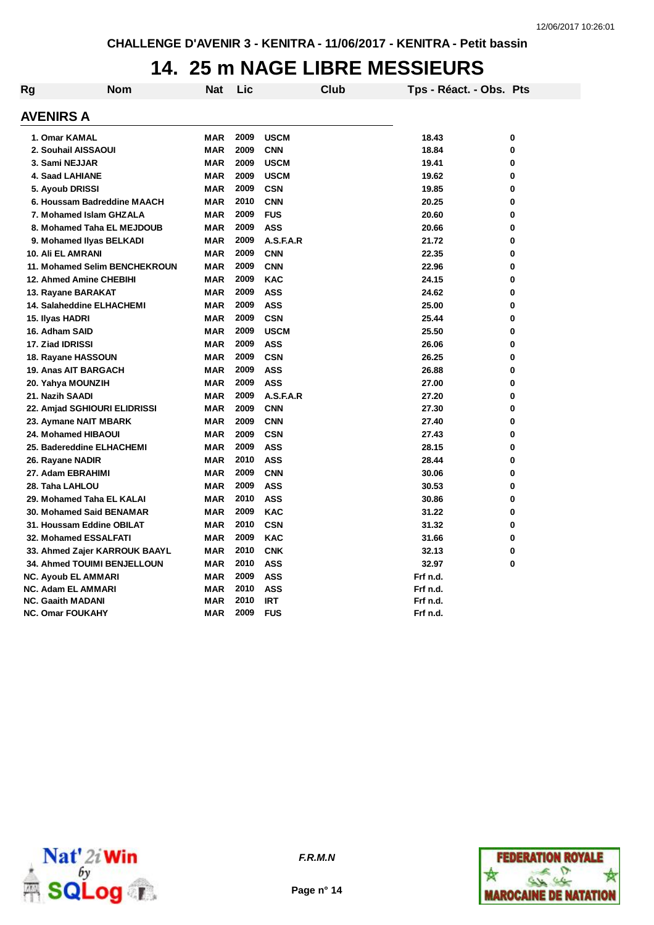#### **14. 25 m NAGE LIBRE MESSIEURS**

| Rg | <b>Nom</b>                         | Nat        | Lic  |             | Club | Tps - Réact. - Obs. Pts |   |
|----|------------------------------------|------------|------|-------------|------|-------------------------|---|
|    | <b>AVENIRS A</b>                   |            |      |             |      |                         |   |
|    | 1. Omar KAMAL                      | MAR        | 2009 | <b>USCM</b> |      | 18.43                   | 0 |
|    | 2. Souhail AISSAOUI                | <b>MAR</b> | 2009 | <b>CNN</b>  |      | 18.84                   | 0 |
|    | 3. Sami NEJJAR                     | <b>MAR</b> | 2009 | <b>USCM</b> |      | 19.41                   | 0 |
|    | 4. Saad LAHIANE                    | <b>MAR</b> | 2009 | <b>USCM</b> |      | 19.62                   | 0 |
|    | 5. Ayoub DRISSI                    | <b>MAR</b> | 2009 | <b>CSN</b>  |      | 19.85                   | 0 |
|    | 6. Houssam Badreddine MAACH        | <b>MAR</b> | 2010 | <b>CNN</b>  |      | 20.25                   | 0 |
|    | 7. Mohamed Islam GHZALA            | <b>MAR</b> | 2009 | <b>FUS</b>  |      | 20.60                   | 0 |
|    | 8. Mohamed Taha EL MEJDOUB         | <b>MAR</b> | 2009 | <b>ASS</b>  |      | 20.66                   | 0 |
|    | 9. Mohamed Ilyas BELKADI           | MAR        | 2009 | A.S.F.A.R   |      | 21.72                   | 0 |
|    | 10. Ali EL AMRANI                  | <b>MAR</b> | 2009 | <b>CNN</b>  |      | 22.35                   | 0 |
|    | 11. Mohamed Selim BENCHEKROUN      | <b>MAR</b> | 2009 | <b>CNN</b>  |      | 22.96                   | 0 |
|    | 12. Ahmed Amine CHEBIHI            | <b>MAR</b> | 2009 | <b>KAC</b>  |      | 24.15                   | 0 |
|    | 13. Rayane BARAKAT                 | <b>MAR</b> | 2009 | <b>ASS</b>  |      | 24.62                   | 0 |
|    | <b>14. Salaheddine ELHACHEMI</b>   | MAR        | 2009 | <b>ASS</b>  |      | 25.00                   | 0 |
|    | 15. Ilyas HADRI                    | <b>MAR</b> | 2009 | <b>CSN</b>  |      | 25.44                   | 0 |
|    | 16. Adham SAID                     | <b>MAR</b> | 2009 | <b>USCM</b> |      | 25.50                   | 0 |
|    | 17. Ziad IDRISSI                   | <b>MAR</b> | 2009 | <b>ASS</b>  |      | 26.06                   | 0 |
|    | 18. Rayane HASSOUN                 | <b>MAR</b> | 2009 | <b>CSN</b>  |      | 26.25                   | 0 |
|    | 19. Anas AIT BARGACH               | <b>MAR</b> | 2009 | <b>ASS</b>  |      | 26.88                   | 0 |
|    | 20. Yahya MOUNZIH                  | <b>MAR</b> | 2009 | <b>ASS</b>  |      | 27.00                   | 0 |
|    | 21. Nazih SAADI                    | <b>MAR</b> | 2009 | A.S.F.A.R   |      | 27.20                   | 0 |
|    | 22. Amjad SGHIOURI ELIDRISSI       | MAR        | 2009 | <b>CNN</b>  |      | 27.30                   | 0 |
|    | 23. Aymane NAIT MBARK              | <b>MAR</b> | 2009 | <b>CNN</b>  |      | 27.40                   | 0 |
|    | 24. Mohamed HIBAOUI                | <b>MAR</b> | 2009 | <b>CSN</b>  |      | 27.43                   | 0 |
|    | 25. Badereddine ELHACHEMI          | <b>MAR</b> | 2009 | <b>ASS</b>  |      | 28.15                   | 0 |
|    | 26. Rayane NADIR                   | <b>MAR</b> | 2010 | <b>ASS</b>  |      | 28.44                   | 0 |
|    | 27. Adam EBRAHIMI                  | <b>MAR</b> | 2009 | <b>CNN</b>  |      | 30.06                   | 0 |
|    | 28. Taha LAHLOU                    | <b>MAR</b> | 2009 | <b>ASS</b>  |      | 30.53                   | 0 |
|    | 29. Mohamed Taha EL KALAI          | <b>MAR</b> | 2010 | <b>ASS</b>  |      | 30.86                   | 0 |
|    | 30. Mohamed Said BENAMAR           | <b>MAR</b> | 2009 | <b>KAC</b>  |      | 31.22                   | 0 |
|    | 31. Houssam Eddine OBILAT          | <b>MAR</b> | 2010 | <b>CSN</b>  |      | 31.32                   | 0 |
|    | <b>32. Mohamed ESSALFATI</b>       | MAR        | 2009 | <b>KAC</b>  |      | 31.66                   | 0 |
|    | 33. Ahmed Zajer KARROUK BAAYL      | <b>MAR</b> | 2010 | <b>CNK</b>  |      | 32.13                   | 0 |
|    | <b>34. Ahmed TOUIMI BENJELLOUN</b> | <b>MAR</b> | 2010 | <b>ASS</b>  |      | 32.97                   | 0 |
|    | <b>NC. Ayoub EL AMMARI</b>         | MAR        | 2009 | <b>ASS</b>  |      | Frf n.d.                |   |
|    | <b>NC. Adam EL AMMARI</b>          | MAR        | 2010 | <b>ASS</b>  |      | Frf n.d.                |   |
|    | <b>NC. Gaaith MADANI</b>           | <b>MAR</b> | 2010 | <b>IRT</b>  |      | Frf n.d.                |   |
|    | <b>NC. Omar FOUKAHY</b>            | <b>MAR</b> | 2009 | <b>FUS</b>  |      | Frf n.d.                |   |





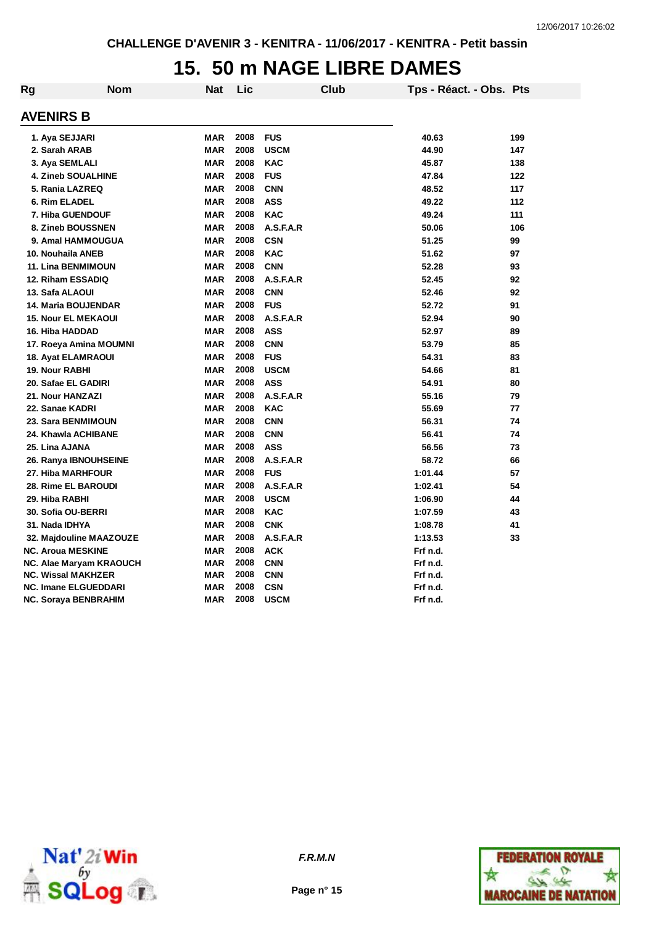### **15. 50 m NAGE LIBRE DAMES**

| Rg                    | Nom                         | Nat        | Lic  |             | <b>Club</b> | Tps - Réact. - Obs. Pts |     |
|-----------------------|-----------------------------|------------|------|-------------|-------------|-------------------------|-----|
| <b>AVENIRS B</b>      |                             |            |      |             |             |                         |     |
|                       | 1. Aya SEJJARI              | <b>MAR</b> | 2008 | <b>FUS</b>  |             | 40.63                   | 199 |
|                       | 2. Sarah ARAB               | <b>MAR</b> | 2008 | <b>USCM</b> |             | 44.90                   | 147 |
|                       | 3. Aya SEMLALI              | <b>MAR</b> | 2008 | <b>KAC</b>  |             | 45.87                   | 138 |
|                       | 4. Zineb SOUALHINE          | <b>MAR</b> | 2008 | <b>FUS</b>  |             | 47.84                   | 122 |
|                       | 5. Rania LAZREQ             | <b>MAR</b> | 2008 | <b>CNN</b>  |             | 48.52                   | 117 |
|                       | 6. Rim ELADEL               | <b>MAR</b> | 2008 | <b>ASS</b>  |             | 49.22                   | 112 |
|                       | 7. Hiba GUENDOUF            | <b>MAR</b> | 2008 | <b>KAC</b>  |             | 49.24                   | 111 |
|                       | 8. Zineb BOUSSNEN           | <b>MAR</b> | 2008 | A.S.F.A.R   |             | 50.06                   | 106 |
|                       | 9. Amal HAMMOUGUA           | <b>MAR</b> | 2008 | <b>CSN</b>  |             | 51.25                   | 99  |
|                       | 10. Nouhaila ANEB           | <b>MAR</b> | 2008 | <b>KAC</b>  |             | 51.62                   | 97  |
|                       | <b>11. Lina BENMIMOUN</b>   | <b>MAR</b> | 2008 | <b>CNN</b>  |             | 52.28                   | 93  |
|                       | 12. Riham ESSADIQ           | <b>MAR</b> | 2008 | A.S.F.A.R   |             | 52.45                   | 92  |
| 13. Safa ALAOUI       |                             | <b>MAR</b> | 2008 | <b>CNN</b>  |             | 52.46                   | 92  |
|                       | <b>14. Maria BOUJENDAR</b>  | <b>MAR</b> | 2008 | <b>FUS</b>  |             | 52.72                   | 91  |
|                       | <b>15. Nour EL MEKAOUI</b>  | <b>MAR</b> | 2008 | A.S.F.A.R   |             | 52.94                   | 90  |
|                       | 16. Hiba HADDAD             | <b>MAR</b> | 2008 | <b>ASS</b>  |             | 52.97                   | 89  |
|                       | 17. Roeya Amina MOUMNI      | <b>MAR</b> | 2008 | <b>CNN</b>  |             | 53.79                   | 85  |
|                       | <b>18. Ayat ELAMRAOUI</b>   | <b>MAR</b> | 2008 | <b>FUS</b>  |             | 54.31                   | 83  |
| <b>19. Nour RABHI</b> |                             | <b>MAR</b> | 2008 | <b>USCM</b> |             | 54.66                   | 81  |
|                       | 20. Safae EL GADIRI         | <b>MAR</b> | 2008 | <b>ASS</b>  |             | 54.91                   | 80  |
|                       | 21. Nour HANZAZI            | <b>MAR</b> | 2008 | A.S.F.A.R   |             | 55.16                   | 79  |
|                       | 22. Sanae KADRI             | <b>MAR</b> | 2008 | <b>KAC</b>  |             | 55.69                   | 77  |
|                       | 23. Sara BENMIMOUN          | <b>MAR</b> | 2008 | <b>CNN</b>  |             | 56.31                   | 74  |
|                       | 24. Khawla ACHIBANE         | <b>MAR</b> | 2008 | <b>CNN</b>  |             | 56.41                   | 74  |
| 25. Lina AJANA        |                             | <b>MAR</b> | 2008 | <b>ASS</b>  |             | 56.56                   | 73  |
|                       | 26. Ranya IBNOUHSEINE       | <b>MAR</b> | 2008 | A.S.F.A.R   |             | 58.72                   | 66  |
|                       | 27. Hiba MARHFOUR           | <b>MAR</b> | 2008 | <b>FUS</b>  |             | 1:01.44                 | 57  |
|                       | 28. Rime EL BAROUDI         | <b>MAR</b> | 2008 | A.S.F.A.R   |             | 1:02.41                 | 54  |
| 29. Hiba RABHI        |                             | <b>MAR</b> | 2008 | <b>USCM</b> |             | 1:06.90                 | 44  |
|                       | 30. Sofia OU-BERRI          | <b>MAR</b> | 2008 | <b>KAC</b>  |             | 1:07.59                 | 43  |
| 31. Nada IDHYA        |                             | <b>MAR</b> | 2008 | <b>CNK</b>  |             | 1:08.78                 | 41  |
|                       | 32. Majdouline MAAZOUZE     | <b>MAR</b> | 2008 | A.S.F.A.R   |             | 1:13.53                 | 33  |
|                       | <b>NC. Aroua MESKINE</b>    | <b>MAR</b> | 2008 | <b>ACK</b>  |             | Frf n.d.                |     |
|                       | NC. Alae Maryam KRAOUCH     | <b>MAR</b> | 2008 | <b>CNN</b>  |             | Frf n.d.                |     |
|                       | <b>NC. Wissal MAKHZER</b>   | <b>MAR</b> | 2008 | <b>CNN</b>  |             | Frf n.d.                |     |
|                       | <b>NC. Imane ELGUEDDARI</b> | <b>MAR</b> | 2008 | <b>CSN</b>  |             | Frf n.d.                |     |
|                       | NC. Soraya BENBRAHIM        | <b>MAR</b> | 2008 | <b>USCM</b> |             | Frf n.d.                |     |